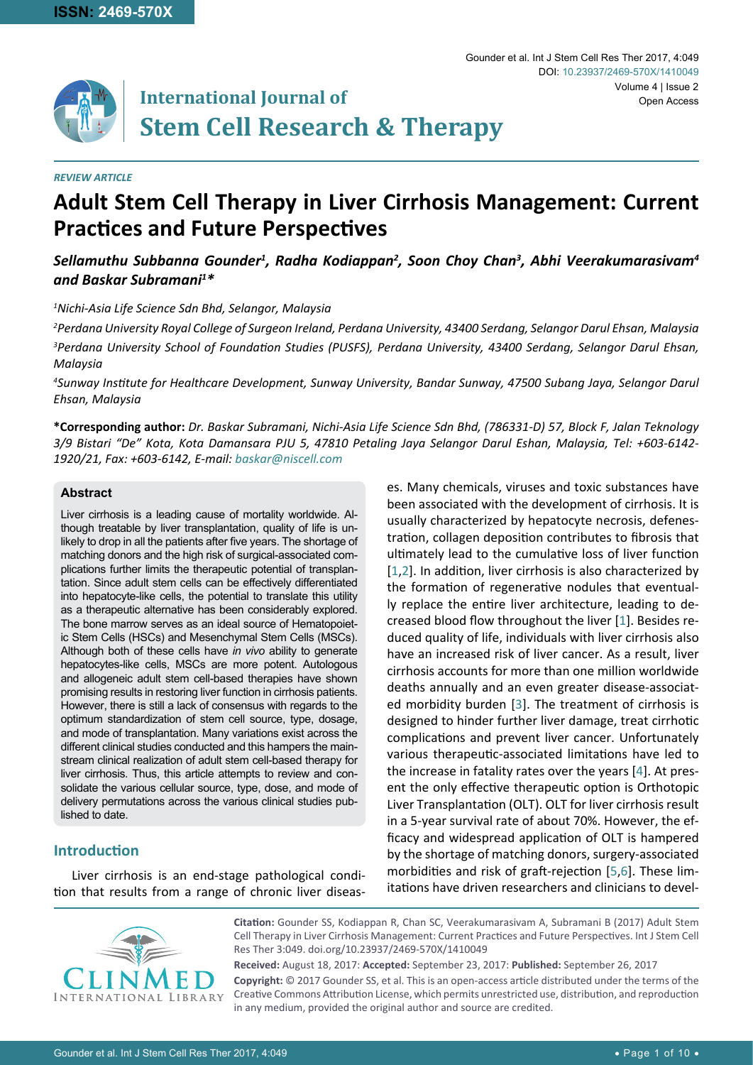

# **International Journal of Stem Cell Research & Therapy**

#### *REVIEW ARTICLE*

## **Adult Stem Cell Therapy in Liver Cirrhosis Management: Current Practices and Future Perspectives**

## Sellamuthu Subbanna Gounder<sup>1</sup>, Radha Kodiappan<sup>2</sup>, Soon Choy Chan<sup>3</sup>, Abhi Veerakumarasivam<sup>4</sup> *and Baskar Subramani1 \**

*1 Nichi-Asia Life Science Sdn Bhd, Selangor, Malaysia*

*2 Perdana University Royal College of Surgeon Ireland, Perdana University, 43400 Serdang, Selangor Darul Ehsan, Malaysia 3 Perdana University School of Foundation Studies (PUSFS), Perdana University, 43400 Serdang, Selangor Darul Ehsan, Malaysia*

*4 Sunway Institute for Healthcare Development, Sunway University, Bandar Sunway, 47500 Subang Jaya, Selangor Darul Ehsan, Malaysia*

**\*Corresponding author:** *Dr. Baskar Subramani, Nichi-Asia Life Science Sdn Bhd, (786331-D) 57, Block F, Jalan Teknology 3/9 Bistari "De" Kota, Kota Damansara PJU 5, 47810 Petaling Jaya Selangor Darul Eshan, Malaysia, Tel: +603-6142- 1920/21, Fax: +603-6142, E-mail: baskar@niscell.com*

#### **Abstract**

Liver cirrhosis is a leading cause of mortality worldwide. Although treatable by liver transplantation, quality of life is unlikely to drop in all the patients after five years. The shortage of matching donors and the high risk of surgical-associated complications further limits the therapeutic potential of transplantation. Since adult stem cells can be effectively differentiated into hepatocyte-like cells, the potential to translate this utility as a therapeutic alternative has been considerably explored. The bone marrow serves as an ideal source of Hematopoietic Stem Cells (HSCs) and Mesenchymal Stem Cells (MSCs). Although both of these cells have *in vivo* ability to generate hepatocytes-like cells, MSCs are more potent. Autologous and allogeneic adult stem cell-based therapies have shown promising results in restoring liver function in cirrhosis patients. However, there is still a lack of consensus with regards to the optimum standardization of stem cell source, type, dosage, and mode of transplantation. Many variations exist across the different clinical studies conducted and this hampers the mainstream clinical realization of adult stem cell-based therapy for liver cirrhosis. Thus, this article attempts to review and consolidate the various cellular source, type, dose, and mode of delivery permutations across the various clinical studies published to date.

## **Introduction**

Liver cirrhosis is an end-stage pathological condition that results from a range of chronic liver diseases. Many chemicals, viruses and toxic substances have been associated with the development of cirrhosis. It is usually characterized by hepatocyte necrosis, defenestration, collagen deposition contributes to fibrosis that ultimately lead to the cumulative loss of liver function [[1](#page-7-0),[2](#page-7-1)]. In addition, liver cirrhosis is also characterized by the formation of regenerative nodules that eventually replace the entire liver architecture, leading to decreased blood flow throughout the liver [[1](#page-7-0)]. Besides reduced quality of life, individuals with liver cirrhosis also have an increased risk of liver cancer. As a result, liver cirrhosis accounts for more than one million worldwide deaths annually and an even greater disease-associated morbidity burden [[3](#page-7-2)]. The treatment of cirrhosis is designed to hinder further liver damage, treat cirrhotic complications and prevent liver cancer. Unfortunately various therapeutic-associated limitations have led to the increase in fatality rates over the years [[4](#page-7-3)]. At present the only effective therapeutic option is Orthotopic Liver Transplantation (OLT). OLT for liver cirrhosis result in a 5-year survival rate of about 70%. However, the efficacy and widespread application of OLT is hampered by the shortage of matching donors, surgery-associated morbidities and risk of graft-rejection [[5](#page-7-4),[6](#page-7-5)]. These limitations have driven researchers and clinicians to devel-

Gounder et al. Int J Stem Cell Res Ther 2017, 4:049

DOI: [10.23937/2469-570X/141004](https://doi.org/10.23937/2469-570X/1410049)9

Volume 4 | Issue 2

Open Access



**Citation:** Gounder SS, Kodiappan R, Chan SC, Veerakumarasivam A, Subramani B (2017) Adult Stem Cell Therapy in Liver Cirrhosis Management: Current Practices and Future Perspectives. Int J Stem Cell Res Ther 3:049. [doi.org/10.23937/2469-570X/141004](https://doi.org/10.23937/2469-570X/1410049)9

**Received:** August 18, 2017: **Accepted:** September 23, 2017: **Published:** September 26, 2017

**Copyright:** © 2017 Gounder SS, et al. This is an open-access article distributed under the terms of the Creative Commons Attribution License, which permits unrestricted use, distribution, and reproduction in any medium, provided the original author and source are credited.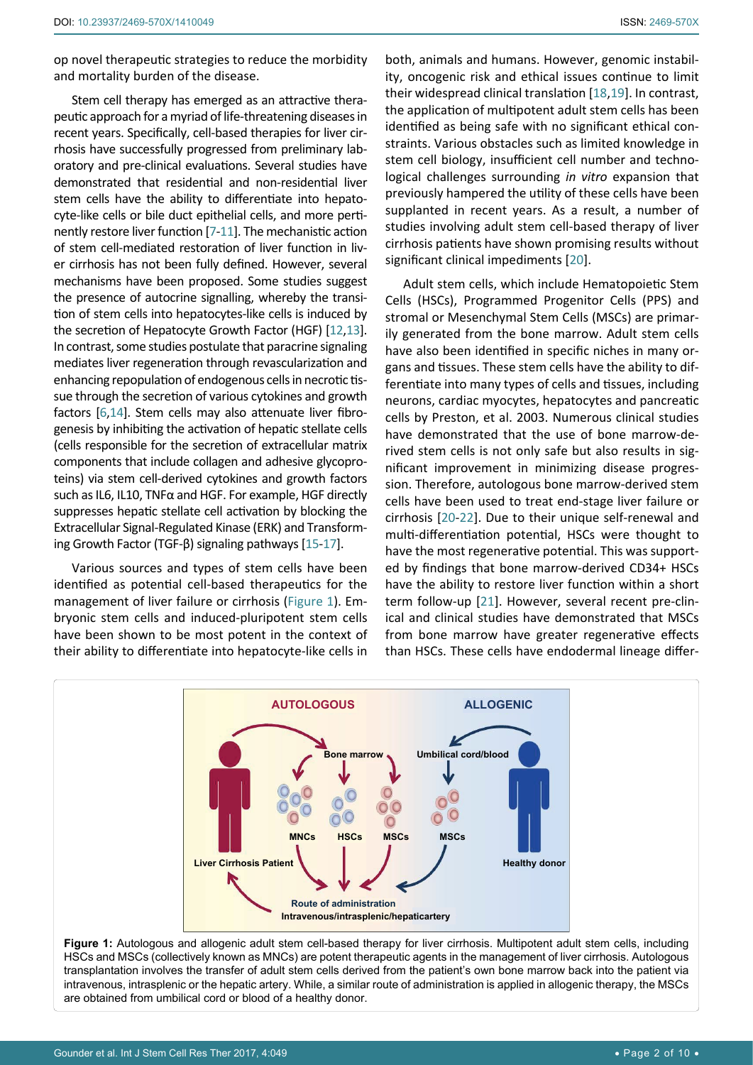op novel therapeutic strategies to reduce the morbidity and mortality burden of the disease.

Stem cell therapy has emerged as an attractive therapeutic approach for a myriad of life-threatening diseases in recent years. Specifically, cell-based therapies for liver cirrhosis have successfully progressed from preliminary laboratory and pre-clinical evaluations. Several studies have demonstrated that residential and non-residential liver stem cells have the ability to differentiate into hepatocyte-like cells or bile duct epithelial cells, and more pertinently restore liver function [[7](#page-7-6)-[11](#page-7-7)]. The mechanistic action of stem cell-mediated restoration of liver function in liver cirrhosis has not been fully defined. However, several mechanisms have been proposed. Some studies suggest the presence of autocrine signalling, whereby the transition of stem cells into hepatocytes-like cells is induced by the secretion of Hepatocyte Growth Factor (HGF) [[12](#page-7-8)[,13](#page-8-0)]. In contrast, some studies postulate that paracrine signaling mediates liver regeneration through revascularization and enhancing repopulation of endogenous cells in necrotic tissue through the secretion of various cytokines and growth factors [\[6](#page-7-5)[,14](#page-8-1)]. Stem cells may also attenuate liver fibrogenesis by inhibiting the activation of hepatic stellate cells (cells responsible for the secretion of extracellular matrix components that include collagen and adhesive glycoproteins) via stem cell-derived cytokines and growth factors such as IL6, IL10, TNFα and HGF. For example, HGF directly suppresses hepatic stellate cell activation by blocking the Extracellular Signal-Regulated Kinase (ERK) and Transforming Growth Factor (TGF-β) signaling pathways [[15](#page-8-2)-[17](#page-8-3)].

Various sources and types of stem cells have been identified as potential cell-based therapeutics for the management of liver failure or cirrhosis ([Figure 1\)](#page-1-0). Embryonic stem cells and induced-pluripotent stem cells have been shown to be most potent in the context of their ability to differentiate into hepatocyte-like cells in both, animals and humans. However, genomic instability, oncogenic risk and ethical issues continue to limit their widespread clinical translation [[18](#page-8-4),[19](#page-8-5)]. In contrast, the application of multipotent adult stem cells has been identified as being safe with no significant ethical constraints. Various obstacles such as limited knowledge in stem cell biology, insufficient cell number and technological challenges surrounding *in vitro* expansion that previously hampered the utility of these cells have been supplanted in recent years. As a result, a number of studies involving adult stem cell-based therapy of liver cirrhosis patients have shown promising results without significant clinical impediments [[20](#page-8-6)].

Adult stem cells, which include Hematopoietic Stem Cells (HSCs), Programmed Progenitor Cells (PPS) and stromal or Mesenchymal Stem Cells (MSCs) are primarily generated from the bone marrow. Adult stem cells have also been identified in specific niches in many organs and tissues. These stem cells have the ability to differentiate into many types of cells and tissues, including neurons, cardiac myocytes, hepatocytes and pancreatic cells by Preston, et al. 2003. Numerous clinical studies have demonstrated that the use of bone marrow-derived stem cells is not only safe but also results in significant improvement in minimizing disease progression. Therefore, autologous bone marrow-derived stem cells have been used to treat end-stage liver failure or cirrhosis [[20](#page-8-6)-[22](#page-8-7)]. Due to their unique self-renewal and multi-differentiation potential, HSCs were thought to have the most regenerative potential. This was supported by findings that bone marrow-derived CD34+ HSCs have the ability to restore liver function within a short term follow-up [[21](#page-8-8)]. However, several recent pre-clinical and clinical studies have demonstrated that MSCs from bone marrow have greater regenerative effects than HSCs. These cells have endodermal lineage differ-

<span id="page-1-0"></span>

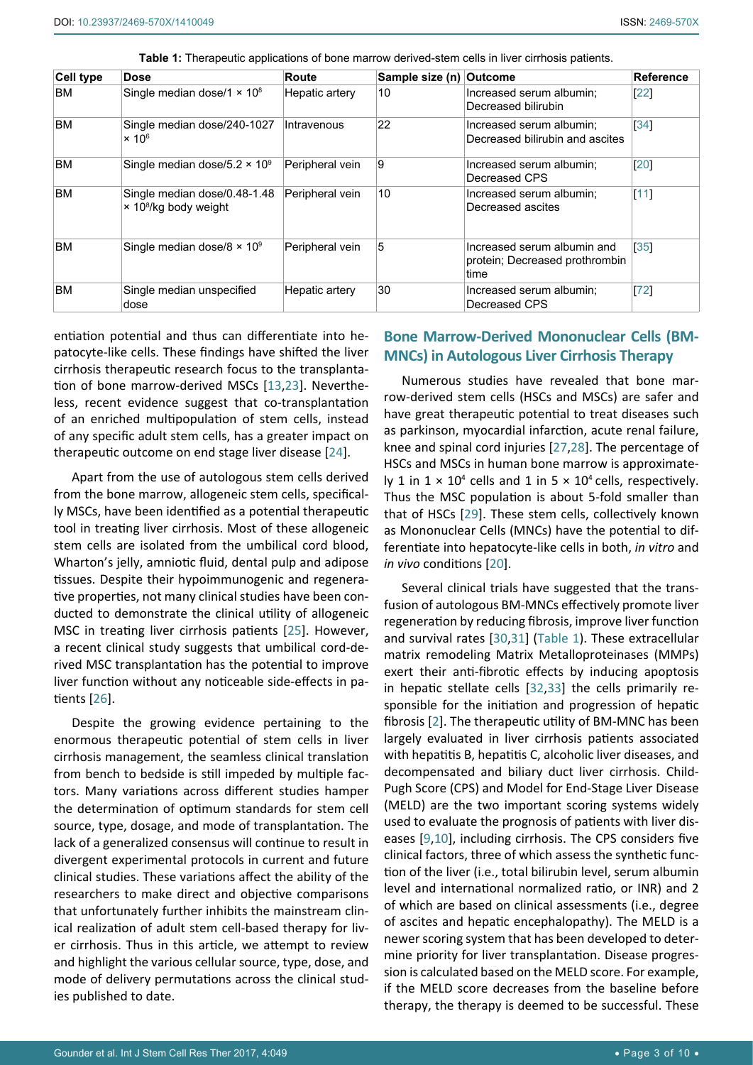| Cell type | <b>Dose</b>                                                              | Route           | Sample size (n) Outcome |                                                                       | <b>Reference</b> |
|-----------|--------------------------------------------------------------------------|-----------------|-------------------------|-----------------------------------------------------------------------|------------------|
| <b>BM</b> | Single median dose/1 $\times$ 10 <sup>8</sup>                            | Hepatic artery  | 10                      | Increased serum albumin:<br>Decreased bilirubin                       | $[22]$           |
| <b>BM</b> | Single median dose/240-1027<br>$\times 10^6$                             | Intravenous     | 22                      | Increased serum albumin:<br>Decreased bilirubin and ascites           | 34               |
| <b>BM</b> | Single median dose/5.2 $\times$ 10 <sup>9</sup>                          | Peripheral vein | Ι9                      | Increased serum albumin;<br>Decreased CPS                             | [20]             |
| <b>BM</b> | Single median dose/0.48-1.48<br>$\times$ 10 <sup>8</sup> /kg body weight | Peripheral vein | 10                      | Increased serum albumin;<br>Decreased ascites                         | $[11]$           |
| <b>BM</b> | Single median dose/8 $\times$ 10 <sup>9</sup>                            | Peripheral vein | 5                       | Increased serum albumin and<br>protein; Decreased prothrombin<br>time | 35               |
| <b>BM</b> | Single median unspecified<br>dose                                        | Hepatic artery  | 30                      | Increased serum albumin;<br>Decreased CPS                             | $[72]$           |

<span id="page-2-0"></span>**Table 1:** Therapeutic applications of bone marrow derived-stem cells in liver cirrhosis patients.

entiation potential and thus can differentiate into hepatocyte-like cells. These findings have shifted the liver cirrhosis therapeutic research focus to the transplantation of bone marrow-derived MSCs [[13](#page-8-0)[,23](#page-8-9)]. Nevertheless, recent evidence suggest that co-transplantation of an enriched multipopulation of stem cells, instead of any specific adult stem cells, has a greater impact on therapeutic outcome on end stage liver disease [[24](#page-8-10)].

Apart from the use of autologous stem cells derived from the bone marrow, allogeneic stem cells, specifically MSCs, have been identified as a potential therapeutic tool in treating liver cirrhosis. Most of these allogeneic stem cells are isolated from the umbilical cord blood, Wharton's jelly, amniotic fluid, dental pulp and adipose tissues. Despite their hypoimmunogenic and regenerative properties, not many clinical studies have been conducted to demonstrate the clinical utility of allogeneic MSC in treating liver cirrhosis patients [\[25](#page-8-11)]. However, a recent clinical study suggests that umbilical cord-derived MSC transplantation has the potential to improve liver function without any noticeable side-effects in patients [[26\]](#page-8-12).

Despite the growing evidence pertaining to the enormous therapeutic potential of stem cells in liver cirrhosis management, the seamless clinical translation from bench to bedside is still impeded by multiple factors. Many variations across different studies hamper the determination of optimum standards for stem cell source, type, dosage, and mode of transplantation. The lack of a generalized consensus will continue to result in divergent experimental protocols in current and future clinical studies. These variations affect the ability of the researchers to make direct and objective comparisons that unfortunately further inhibits the mainstream clinical realization of adult stem cell-based therapy for liver cirrhosis. Thus in this article, we attempt to review and highlight the various cellular source, type, dose, and mode of delivery permutations across the clinical studies published to date.

## **Bone Marrow-Derived Mononuclear Cells (BM-MNCs) in Autologous Liver Cirrhosis Therapy**

Numerous studies have revealed that bone marrow-derived stem cells (HSCs and MSCs) are safer and have great therapeutic potential to treat diseases such as parkinson, myocardial infarction, acute renal failure, knee and spinal cord injuries [[27](#page-8-13)[,28](#page-8-14)]. The percentage of HSCs and MSCs in human bone marrow is approximately 1 in  $1 \times 10^4$  cells and 1 in 5  $\times$  10<sup>4</sup> cells, respectively. Thus the MSC population is about 5-fold smaller than that of HSCs [[29](#page-8-15)]. These stem cells, collectively known as Mononuclear Cells (MNCs) have the potential to differentiate into hepatocyte-like cells in both, *in vitro* and *in vivo* conditions [[20](#page-8-6)].

Several clinical trials have suggested that the transfusion of autologous BM-MNCs effectively promote liver regeneration by reducing fibrosis, improve liver function and survival rates [\[30](#page-8-16)[,31](#page-8-17)] [\(Table 1](#page-2-0)). These extracellular matrix remodeling Matrix Metalloproteinases (MMPs) exert their anti-fibrotic effects by inducing apoptosis in hepatic stellate cells [[32](#page-8-18),[33](#page-8-19)] the cells primarily responsible for the initiation and progression of hepatic fibrosis [[2](#page-7-1)]. The therapeutic utility of BM-MNC has been largely evaluated in liver cirrhosis patients associated with hepatitis B, hepatitis C, alcoholic liver diseases, and decompensated and biliary duct liver cirrhosis. Child-Pugh Score (CPS) and Model for End-Stage Liver Disease (MELD) are the two important scoring systems widely used to evaluate the prognosis of patients with liver diseases [\[9](#page-7-9)[,10](#page-7-10)], including cirrhosis. The CPS considers five clinical factors, three of which assess the synthetic function of the liver (i.e., total bilirubin level, serum albumin level and international normalized ratio, or INR) and 2 of which are based on clinical assessments (i.e., degree of ascites and hepatic encephalopathy). The MELD is a newer scoring system that has been developed to determine priority for liver transplantation. Disease progression is calculated based on the MELD score. For example, if the MELD score decreases from the baseline before therapy, the therapy is deemed to be successful. These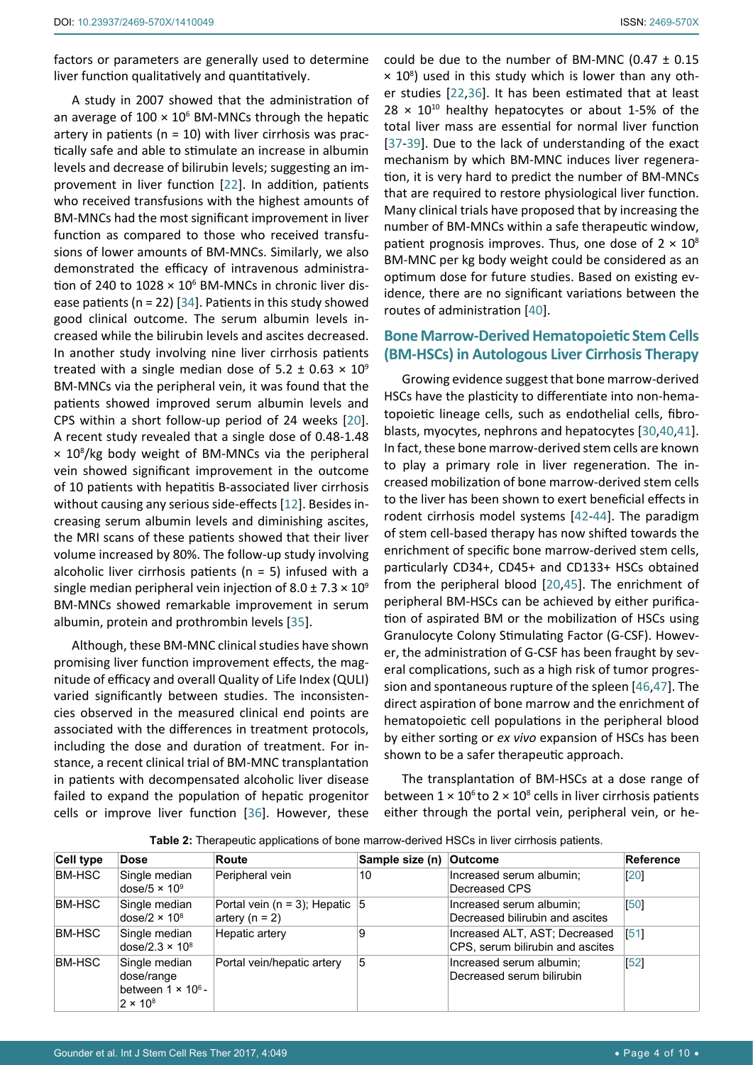A study in 2007 showed that the administration of an average of  $100 \times 10^6$  BM-MNCs through the hepatic artery in patients ( $n = 10$ ) with liver cirrhosis was practically safe and able to stimulate an increase in albumin levels and decrease of bilirubin levels; suggesting an improvement in liver function [[22](#page-8-7)]. In addition, patients who received transfusions with the highest amounts of BM-MNCs had the most significant improvement in liver function as compared to those who received transfusions of lower amounts of BM-MNCs. Similarly, we also demonstrated the efficacy of intravenous administration of 240 to  $1028 \times 10^6$  BM-MNCs in chronic liver disease patients ( $n = 22$ ) [[34](#page-8-20)]. Patients in this study showed good clinical outcome. The serum albumin levels increased while the bilirubin levels and ascites decreased. In another study involving nine liver cirrhosis patients treated with a single median dose of 5.2  $\pm$  0.63  $\times$  10<sup>9</sup> BM-MNCs via the peripheral vein, it was found that the patients showed improved serum albumin levels and CPS within a short follow-up period of 24 weeks [[20](#page-8-6)]. A recent study revealed that a single dose of 0.48-1.48 × 108 /kg body weight of BM-MNCs via the peripheral vein showed significant improvement in the outcome of 10 patients with hepatitis B-associated liver cirrhosis without causing any serious side-effects [[12](#page-7-8)]. Besides increasing serum albumin levels and diminishing ascites, the MRI scans of these patients showed that their liver volume increased by 80%. The follow-up study involving alcoholic liver cirrhosis patients ( $n = 5$ ) infused with a single median peripheral vein injection of  $8.0 \pm 7.3 \times 10^9$ BM-MNCs showed remarkable improvement in serum albumin, protein and prothrombin levels [[35](#page-8-21)].

Although, these BM-MNC clinical studies have shown promising liver function improvement effects, the magnitude of efficacy and overall Quality of Life Index (QULI) varied significantly between studies. The inconsistencies observed in the measured clinical end points are associated with the differences in treatment protocols, including the dose and duration of treatment. For instance, a recent clinical trial of BM-MNC transplantation in patients with decompensated alcoholic liver disease failed to expand the population of hepatic progenitor cells or improve liver function [[36](#page-8-22)]. However, these

could be due to the number of BM-MNC (0.47  $\pm$  0.15  $\times$  10<sup>8</sup>) used in this study which is lower than any other studies [\[22](#page-8-7),[36](#page-8-22)]. It has been estimated that at least  $28 \times 10^{10}$  healthy hepatocytes or about 1-5% of the total liver mass are essential for normal liver function [\[37](#page-8-23)-[39](#page-8-24)]. Due to the lack of understanding of the exact mechanism by which BM-MNC induces liver regeneration, it is very hard to predict the number of BM-MNCs that are required to restore physiological liver function. Many clinical trials have proposed that by increasing the number of BM-MNCs within a safe therapeutic window, patient prognosis improves. Thus, one dose of  $2 \times 10^8$ BM-MNC per kg body weight could be considered as an optimum dose for future studies. Based on existing evidence, there are no significant variations between the routes of administration [[40](#page-8-25)].

## **Bone Marrow-Derived Hematopoietic Stem Cells (BM-HSCs) in Autologous Liver Cirrhosis Therapy**

Growing evidence suggest that bone marrow-derived HSCs have the plasticity to differentiate into non-hematopoietic lineage cells, such as endothelial cells, fibroblasts, myocytes, nephrons and hepatocytes [[30,](#page-8-16)[40,](#page-8-25)[41](#page-8-26)]. In fact, these bone marrow-derived stem cells are known to play a primary role in liver regeneration. The increased mobilization of bone marrow-derived stem cells to the liver has been shown to exert beneficial effects in rodent cirrhosis model systems [\[42](#page-8-27)-[44](#page-8-28)]. The paradigm of stem cell-based therapy has now shifted towards the enrichment of specific bone marrow-derived stem cells, particularly CD34+, CD45+ and CD133+ HSCs obtained from the peripheral blood [[20](#page-8-6),[45](#page-8-29)]. The enrichment of peripheral BM-HSCs can be achieved by either purification of aspirated BM or the mobilization of HSCs using Granulocyte Colony Stimulating Factor (G-CSF). However, the administration of G-CSF has been fraught by several complications, such as a high risk of tumor progression and spontaneous rupture of the spleen [[46](#page-9-1),[47](#page-9-2)]. The direct aspiration of bone marrow and the enrichment of hematopoietic cell populations in the peripheral blood by either sorting or *ex vivo* expansion of HSCs has been shown to be a safer therapeutic approach.

The transplantation of BM-HSCs at a dose range of between  $1 \times 10^6$  to  $2 \times 10^8$  cells in liver cirrhosis patients either through the portal vein, peripheral vein, or he-

<span id="page-3-0"></span>**Table 2:** Therapeutic applications of bone marrow-derived HSCs in liver cirrhosis patients.

| Cell type | Dose                                                                        | <b>Route</b>                                         | Sample size (n) | <b>Outcome</b>                                                    | Reference |
|-----------|-----------------------------------------------------------------------------|------------------------------------------------------|-----------------|-------------------------------------------------------------------|-----------|
| BM-HSC    | Single median<br>dose/5 $\times$ 10 <sup>9</sup>                            | Peripheral vein                                      | 10              | Increased serum albumin;<br>Decreased CPS                         | [20]      |
| BM-HSC    | Single median<br>dose/2 $\times$ 10 <sup>8</sup>                            | Portal vein (n = 3); Hepatic $ 5 $<br>artery (n = 2) |                 | Increased serum albumin;<br>Decreased bilirubin and ascites       | [50]      |
| BM-HSC    | Single median<br>dose/2.3 $\times$ 10 <sup>8</sup>                          | Hepatic artery                                       | 9               | Increased ALT, AST; Decreased<br>CPS, serum bilirubin and ascites | [51]      |
| BM-HSC    | Single median<br>dose/range<br>between $1 \times 10^6$ -<br>$2 \times 10^8$ | Portal vein/hepatic artery                           | 5               | Increased serum albumin;<br>Decreased serum bilirubin             | [52]      |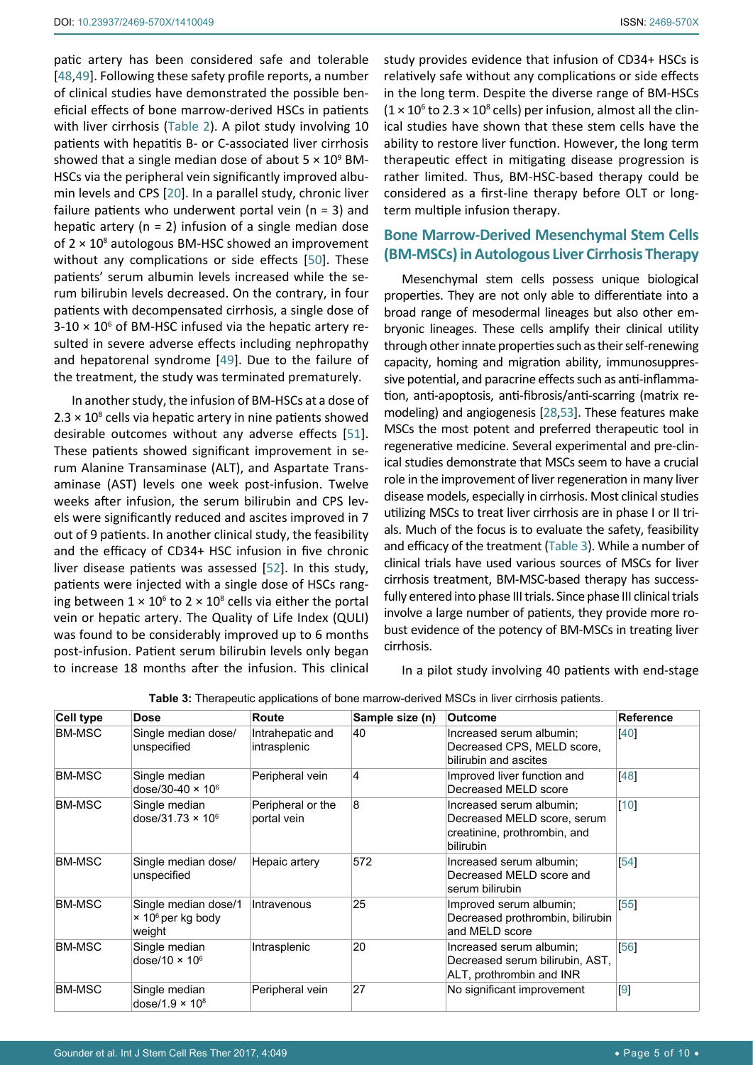patic artery has been considered safe and tolerable [[48](#page-9-7),[49](#page-9-8)]. Following these safety profile reports, a number of clinical studies have demonstrated the possible beneficial effects of bone marrow-derived HSCs in patients with liver cirrhosis ([Table 2](#page-3-0)). A pilot study involving 10 patients with hepatitis B- or C-associated liver cirrhosis showed that a single median dose of about  $5 \times 10^9$  BM-HSCs via the peripheral vein significantly improved albumin levels and CPS [\[20](#page-8-6)]. In a parallel study, chronic liver failure patients who underwent portal vein ( $n = 3$ ) and hepatic artery ( $n = 2$ ) infusion of a single median dose of  $2 \times 10^8$  autologous BM-HSC showed an improvement without any complications or side effects [\[50\]](#page-9-3). These patients' serum albumin levels increased while the serum bilirubin levels decreased. On the contrary, in four patients with decompensated cirrhosis, a single dose of  $3-10 \times 10^6$  of BM-HSC infused via the hepatic artery resulted in severe adverse effects including nephropathy and hepatorenal syndrome [\[49](#page-9-8)]. Due to the failure of the treatment, the study was terminated prematurely.

In another study, the infusion of BM-HSCs at a dose of  $2.3 \times 10^8$  cells via hepatic artery in nine patients showed desirable outcomes without any adverse effects [\[51](#page-9-4)]. These patients showed significant improvement in serum Alanine Transaminase (ALT), and Aspartate Transaminase (AST) levels one week post-infusion. Twelve weeks after infusion, the serum bilirubin and CPS levels were significantly reduced and ascites improved in 7 out of 9 patients. In another clinical study, the feasibility and the efficacy of CD34+ HSC infusion in five chronic liver disease patients was assessed [[52\]](#page-9-5). In this study, patients were injected with a single dose of HSCs ranging between  $1 \times 10^6$  to  $2 \times 10^8$  cells via either the portal vein or hepatic artery. The Quality of Life Index (QULI) was found to be considerably improved up to 6 months post-infusion. Patient serum bilirubin levels only began to increase 18 months after the infusion. This clinical

study provides evidence that infusion of CD34+ HSCs is relatively safe without any complications or side effects in the long term. Despite the diverse range of BM-HSCs  $(1 \times 10^6$  to 2.3  $\times$  10<sup>8</sup> cells) per infusion, almost all the clinical studies have shown that these stem cells have the ability to restore liver function. However, the long term therapeutic effect in mitigating disease progression is rather limited. Thus, BM-HSC-based therapy could be considered as a first-line therapy before OLT or longterm multiple infusion therapy.

## **Bone Marrow-Derived Mesenchymal Stem Cells (BM-MSCs) in Autologous Liver Cirrhosis Therapy**

Mesenchymal stem cells possess unique biological properties. They are not only able to differentiate into a broad range of mesodermal lineages but also other embryonic lineages. These cells amplify their clinical utility through other innate properties such as their self-renewing capacity, homing and migration ability, immunosuppressive potential, and paracrine effects such as anti-inflammation, anti-apoptosis, anti-fibrosis/anti-scarring (matrix remodeling) and angiogenesis [[28,](#page-8-14)[53\]](#page-9-6). These features make MSCs the most potent and preferred therapeutic tool in regenerative medicine. Several experimental and pre-clinical studies demonstrate that MSCs seem to have a crucial role in the improvement of liver regeneration in many liver disease models, especially in cirrhosis. Most clinical studies utilizing MSCs to treat liver cirrhosis are in phase I or II trials. Much of the focus is to evaluate the safety, feasibility and efficacy of the treatment ([Table 3](#page-4-0)). While a number of clinical trials have used various sources of MSCs for liver cirrhosis treatment, BM-MSC-based therapy has successfully entered into phase III trials. Since phase III clinical trials involve a large number of patients, they provide more robust evidence of the potency of BM-MSCs in treating liver cirrhosis.

In a pilot study involving 40 patients with end-stage

| <b>Cell type</b> | <b>Dose</b>                                                     | Route                            | Sample size (n)         | Outcome                                                                                              | <b>Reference</b> |
|------------------|-----------------------------------------------------------------|----------------------------------|-------------------------|------------------------------------------------------------------------------------------------------|------------------|
| <b>BM-MSC</b>    | Single median dose/<br>unspecified                              | Intrahepatic and<br>intrasplenic | 40                      | Increased serum albumin;<br>Decreased CPS, MELD score,<br>bilirubin and ascites                      | [40]             |
| <b>BM-MSC</b>    | Single median<br>dose/30-40 $\times$ 10 $^{\circ}$              | Peripheral vein                  | $\overline{\mathbf{4}}$ | Improved liver function and<br>Decreased MELD score                                                  | [48]             |
| <b>BM-MSC</b>    | Single median<br>dose/31.73 $\times$ 10 $^{\circ}$              | Peripheral or the<br>portal vein | 8                       | Increased serum albumin;<br>Decreased MELD score, serum<br>creatinine, prothrombin, and<br>bilirubin | [10]             |
| <b>BM-MSC</b>    | Single median dose/<br>unspecified                              | Hepaic artery                    | 572                     | Increased serum albumin;<br>Decreased MELD score and<br>serum bilirubin                              | [54]             |
| <b>BM-MSC</b>    | Single median dose/1<br>× 10 <sup>6</sup> per kg body<br>weight | Intravenous                      | 25                      | Improved serum albumin;<br>Decreased prothrombin, bilirubin<br>and MELD score                        | 55               |
| <b>BM-MSC</b>    | Single median<br>dose/10 $\times$ 10 $^6$                       | Intrasplenic                     | 20                      | Increased serum albumin;<br>Decreased serum bilirubin, AST,<br>ALT, prothrombin and INR              | [56]             |
| <b>BM-MSC</b>    | Single median<br>dose/1.9 $\times$ 10 <sup>8</sup>              | Peripheral vein                  | 27                      | No significant improvement                                                                           | $\overline{9}$   |

<span id="page-4-0"></span>**Table 3:** Therapeutic applications of bone marrow-derived MSCs in liver cirrhosis patients.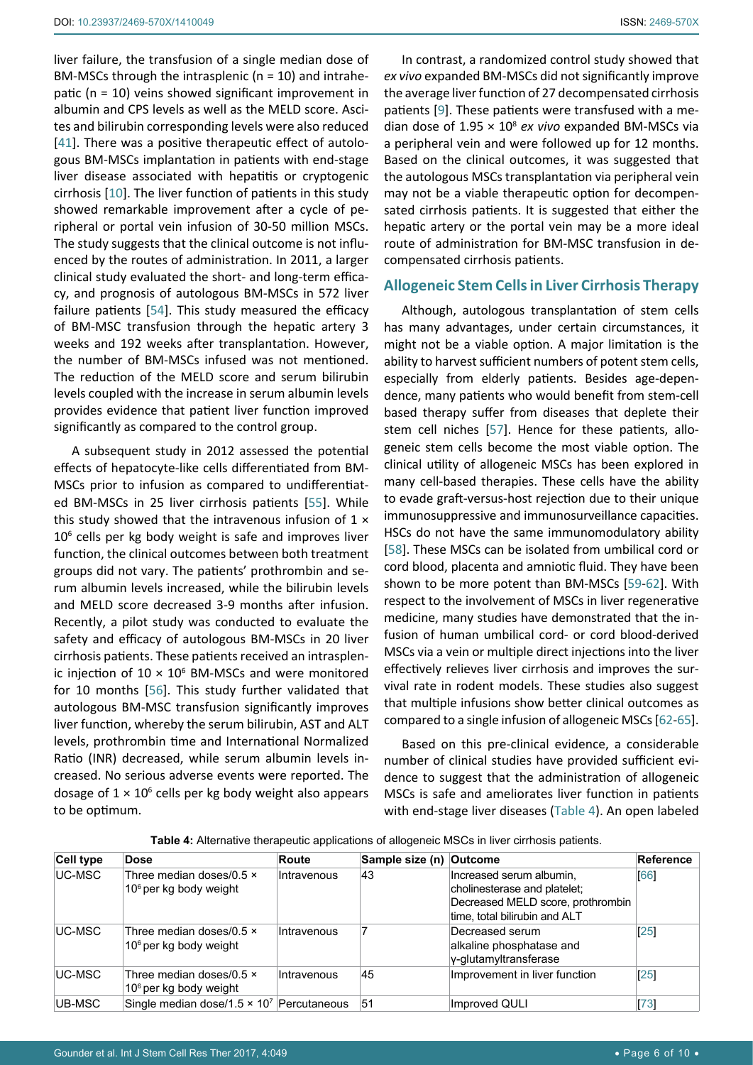liver failure, the transfusion of a single median dose of BM-MSCs through the intrasplenic (n = 10) and intrahepatic (n = 10) veins showed significant improvement in albumin and CPS levels as well as the MELD score. Ascites and bilirubin corresponding levels were also reduced [[41](#page-8-26)]. There was a positive therapeutic effect of autologous BM-MSCs implantation in patients with end-stage liver disease associated with hepatitis or cryptogenic cirrhosis [\[10](#page-7-10)]. The liver function of patients in this study showed remarkable improvement after a cycle of peripheral or portal vein infusion of 30-50 million MSCs. The study suggests that the clinical outcome is not influenced by the routes of administration. In 2011, a larger clinical study evaluated the short- and long-term efficacy, and prognosis of autologous BM-MSCs in 572 liver failure patients [[54](#page-9-9)]. This study measured the efficacy of BM-MSC transfusion through the hepatic artery 3 weeks and 192 weeks after transplantation. However, the number of BM-MSCs infused was not mentioned. The reduction of the MELD score and serum bilirubin levels coupled with the increase in serum albumin levels provides evidence that patient liver function improved significantly as compared to the control group.

A subsequent study in 2012 assessed the potential effects of hepatocyte-like cells differentiated from BM-MSCs prior to infusion as compared to undifferentiated BM-MSCs in 25 liver cirrhosis patients [[55](#page-9-10)]. While this study showed that the intravenous infusion of  $1 \times$ 10<sup>6</sup> cells per kg body weight is safe and improves liver function, the clinical outcomes between both treatment groups did not vary. The patients' prothrombin and serum albumin levels increased, while the bilirubin levels and MELD score decreased 3-9 months after infusion. Recently, a pilot study was conducted to evaluate the safety and efficacy of autologous BM-MSCs in 20 liver cirrhosis patients. These patients received an intrasplenic injection of  $10 \times 10^6$  BM-MSCs and were monitored for 10 months [[56\]](#page-9-11). This study further validated that autologous BM-MSC transfusion significantly improves liver function, whereby the serum bilirubin, AST and ALT levels, prothrombin time and International Normalized Ratio (INR) decreased, while serum albumin levels increased. No serious adverse events were reported. The dosage of  $1 \times 10^6$  cells per kg body weight also appears to be optimum.

In contrast, a randomized control study showed that *ex vivo* expanded BM-MSCs did not significantly improve the average liver function of 27 decompensated cirrhosis patients [[9](#page-7-9)]. These patients were transfused with a median dose of 1.95 × 10<sup>8</sup> *ex vivo* expanded BM-MSCs via a peripheral vein and were followed up for 12 months. Based on the clinical outcomes, it was suggested that the autologous MSCs transplantation via peripheral vein may not be a viable therapeutic option for decompensated cirrhosis patients. It is suggested that either the hepatic artery or the portal vein may be a more ideal route of administration for BM-MSC transfusion in decompensated cirrhosis patients.

### **Allogeneic Stem Cells in Liver Cirrhosis Therapy**

Although, autologous transplantation of stem cells has many advantages, under certain circumstances, it might not be a viable option. A major limitation is the ability to harvest sufficient numbers of potent stem cells, especially from elderly patients. Besides age-dependence, many patients who would benefit from stem-cell based therapy suffer from diseases that deplete their stem cell niches [[57](#page-9-12)]. Hence for these patients, allogeneic stem cells become the most viable option. The clinical utility of allogeneic MSCs has been explored in many cell-based therapies. These cells have the ability to evade graft-versus-host rejection due to their unique immunosuppressive and immunosurveillance capacities. HSCs do not have the same immunomodulatory ability [[58](#page-9-13)]. These MSCs can be isolated from umbilical cord or cord blood, placenta and amniotic fluid. They have been shown to be more potent than BM-MSCs [\[59](#page-9-14)-[62\]](#page-9-15). With respect to the involvement of MSCs in liver regenerative medicine, many studies have demonstrated that the infusion of human umbilical cord- or cord blood-derived MSCs via a vein or multiple direct injections into the liver effectively relieves liver cirrhosis and improves the survival rate in rodent models. These studies also suggest that multiple infusions show better clinical outcomes as compared to a single infusion of allogeneic MSCs [\[62](#page-9-15)-[65\]](#page-9-16).

Based on this pre-clinical evidence, a considerable number of clinical studies have provided sufficient evidence to suggest that the administration of allogeneic MSCs is safe and ameliorates liver function in patients with end-stage liver diseases ([Table 4](#page-5-0)). An open labeled

<span id="page-5-0"></span>

| Cell type | <b>Dose</b>                                                  | Route       | Sample size (n) Outcome |                                                                                                                                | <b>Reference</b> |
|-----------|--------------------------------------------------------------|-------------|-------------------------|--------------------------------------------------------------------------------------------------------------------------------|------------------|
| UC-MSC    | Three median doses/0.5 $\times$<br>$106$ per kg body weight  | Intravenous | 43                      | Increased serum albumin,<br>cholinesterase and platelet;<br>Decreased MELD score, prothrombin<br>time, total bilirubin and ALT | 661              |
| UC-MSC    | Three median doses/0.5 $\times$<br>$106$ per kg body weight  | Intravenous |                         | Decreased serum<br>alkaline phosphatase and<br>y-glutamyltransferase                                                           | $25^{\circ}$     |
| UC-MSC    | Three median doses/0.5 $\times$<br>$106$ per kg body weight  | Intravenous | 45                      | Improvement in liver function                                                                                                  | 25               |
| UB-MSC    | Single median dose/1.5 $\times$ 10 <sup>7</sup> Percutaneous |             | 51                      | Improved QULI                                                                                                                  | 73               |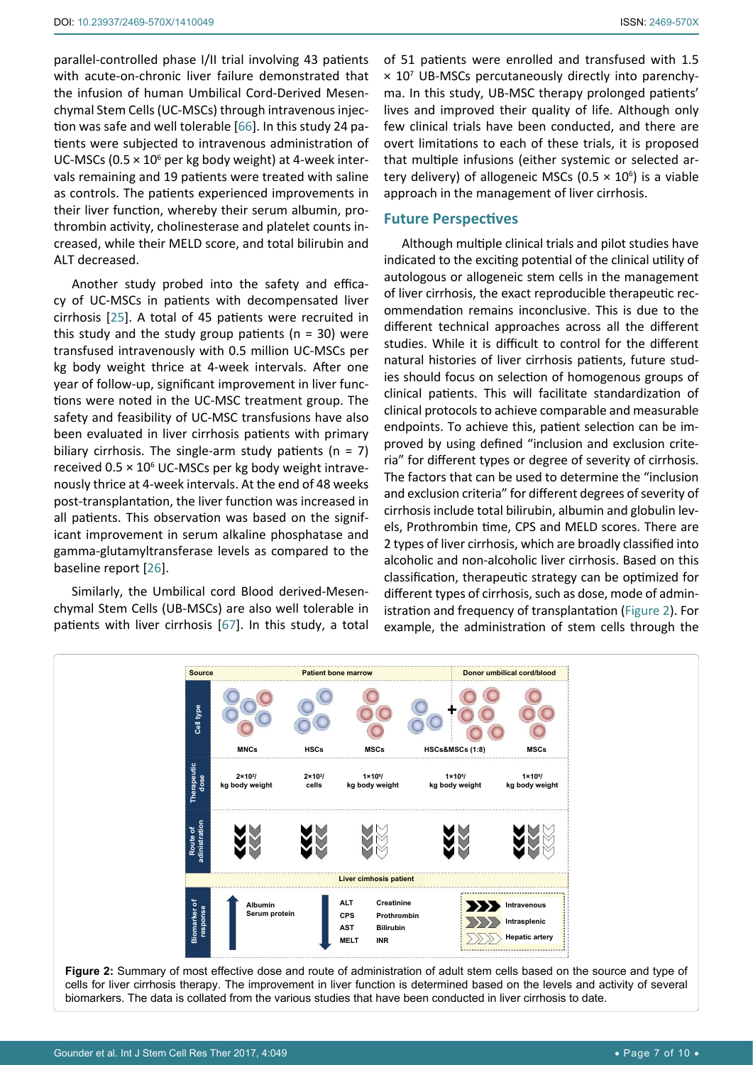parallel-controlled phase I/II trial involving 43 patients with acute-on-chronic liver failure demonstrated that the infusion of human Umbilical Cord-Derived Mesenchymal Stem Cells (UC-MSCs) through intravenous injection was safe and well tolerable [\[66](#page-9-17)]. In this study 24 patients were subjected to intravenous administration of UC-MSCs (0.5  $\times$  10<sup>6</sup> per kg body weight) at 4-week intervals remaining and 19 patients were treated with saline as controls. The patients experienced improvements in their liver function, whereby their serum albumin, prothrombin activity, cholinesterase and platelet counts increased, while their MELD score, and total bilirubin and ALT decreased.

Another study probed into the safety and efficacy of UC-MSCs in patients with decompensated liver cirrhosis [[25](#page-8-11)]. A total of 45 patients were recruited in this study and the study group patients ( $n = 30$ ) were transfused intravenously with 0.5 million UC-MSCs per kg body weight thrice at 4-week intervals. After one year of follow-up, significant improvement in liver functions were noted in the UC-MSC treatment group. The safety and feasibility of UC-MSC transfusions have also been evaluated in liver cirrhosis patients with primary biliary cirrhosis. The single-arm study patients ( $n = 7$ ) received  $0.5 \times 10^6$  UC-MSCs per kg body weight intravenously thrice at 4-week intervals. At the end of 48 weeks post-transplantation, the liver function was increased in all patients. This observation was based on the significant improvement in serum alkaline phosphatase and gamma-glutamyltransferase levels as compared to the baseline report [[26\]](#page-8-12).

Similarly, the Umbilical cord Blood derived-Mesenchymal Stem Cells (UB-MSCs) are also well tolerable in patients with liver cirrhosis [\[67\]](#page-9-19). In this study, a total

of 51 patients were enrolled and transfused with 1.5  $\times$  10<sup>7</sup> UB-MSCs percutaneously directly into parenchyma. In this study, UB-MSC therapy prolonged patients' lives and improved their quality of life. Although only few clinical trials have been conducted, and there are overt limitations to each of these trials, it is proposed that multiple infusions (either systemic or selected artery delivery) of allogeneic MSCs (0.5  $\times$  10<sup>6</sup>) is a viable approach in the management of liver cirrhosis.

### **Future Perspectives**

Although multiple clinical trials and pilot studies have indicated to the exciting potential of the clinical utility of autologous or allogeneic stem cells in the management of liver cirrhosis, the exact reproducible therapeutic recommendation remains inconclusive. This is due to the different technical approaches across all the different studies. While it is difficult to control for the different natural histories of liver cirrhosis patients, future studies should focus on selection of homogenous groups of clinical patients. This will facilitate standardization of clinical protocols to achieve comparable and measurable endpoints. To achieve this, patient selection can be improved by using defined "inclusion and exclusion criteria" for different types or degree of severity of cirrhosis. The factors that can be used to determine the "inclusion and exclusion criteria" for different degrees of severity of cirrhosis include total bilirubin, albumin and globulin levels, Prothrombin time, CPS and MELD scores. There are 2 types of liver cirrhosis, which are broadly classified into alcoholic and non-alcoholic liver cirrhosis. Based on this classification, therapeutic strategy can be optimized for different types of cirrhosis, such as dose, mode of administration and frequency of transplantation [\(Figure 2\)](#page-6-0). For example, the administration of stem cells through the

<span id="page-6-0"></span>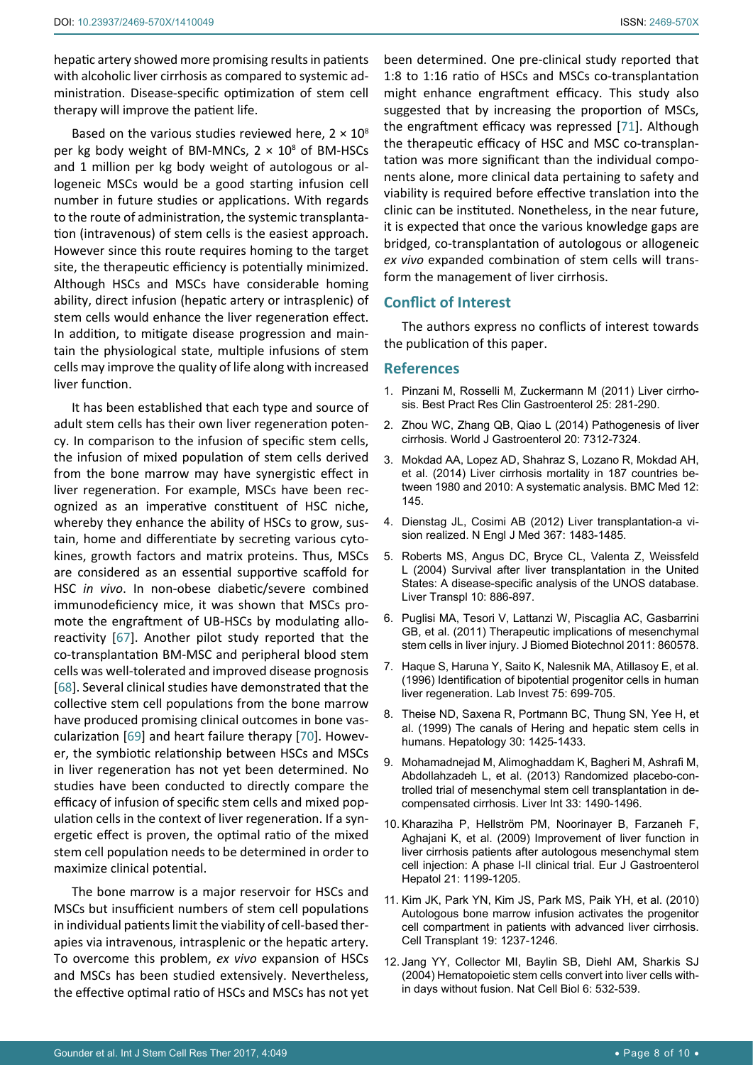hepatic artery showed more promising results in patients with alcoholic liver cirrhosis as compared to systemic administration. Disease-specific optimization of stem cell therapy will improve the patient life.

Based on the various studies reviewed here,  $2 \times 10^8$ per kg body weight of BM-MNCs,  $2 \times 10^8$  of BM-HSCs and 1 million per kg body weight of autologous or allogeneic MSCs would be a good starting infusion cell number in future studies or applications. With regards to the route of administration, the systemic transplantation (intravenous) of stem cells is the easiest approach. However since this route requires homing to the target site, the therapeutic efficiency is potentially minimized. Although HSCs and MSCs have considerable homing ability, direct infusion (hepatic artery or intrasplenic) of stem cells would enhance the liver regeneration effect. In addition, to mitigate disease progression and maintain the physiological state, multiple infusions of stem cells may improve the quality of life along with increased liver function.

It has been established that each type and source of adult stem cells has their own liver regeneration potency. In comparison to the infusion of specific stem cells, the infusion of mixed population of stem cells derived from the bone marrow may have synergistic effect in liver regeneration. For example, MSCs have been recognized as an imperative constituent of HSC niche, whereby they enhance the ability of HSCs to grow, sustain, home and differentiate by secreting various cytokines, growth factors and matrix proteins. Thus, MSCs are considered as an essential supportive scaffold for HSC *in vivo*. In non-obese diabetic/severe combined immunodeficiency mice, it was shown that MSCs promote the engraftment of UB-HSCs by modulating alloreactivity [\[67](#page-9-19)]. Another pilot study reported that the co-transplantation BM-MSC and peripheral blood stem cells was well-tolerated and improved disease prognosis [[68](#page-9-21)]. Several clinical studies have demonstrated that the collective stem cell populations from the bone marrow have produced promising clinical outcomes in bone vascularization [[69\]](#page-9-22) and heart failure therapy [[70](#page-9-23)]. However, the symbiotic relationship between HSCs and MSCs in liver regeneration has not yet been determined. No studies have been conducted to directly compare the efficacy of infusion of specific stem cells and mixed population cells in the context of liver regeneration. If a synergetic effect is proven, the optimal ratio of the mixed stem cell population needs to be determined in order to maximize clinical potential.

The bone marrow is a major reservoir for HSCs and MSCs but insufficient numbers of stem cell populations in individual patients limit the viability of cell-based therapies via intravenous, intrasplenic or the hepatic artery. To overcome this problem, *ex vivo* expansion of HSCs and MSCs has been studied extensively. Nevertheless, the effective optimal ratio of HSCs and MSCs has not yet been determined. One pre-clinical study reported that 1:8 to 1:16 ratio of HSCs and MSCs co-transplantation might enhance engraftment efficacy. This study also suggested that by increasing the proportion of MSCs, the engraftment efficacy was repressed [[71](#page-9-20)]. Although the therapeutic efficacy of HSC and MSC co-transplantation was more significant than the individual components alone, more clinical data pertaining to safety and viability is required before effective translation into the clinic can be instituted. Nonetheless, in the near future, it is expected that once the various knowledge gaps are bridged, co-transplantation of autologous or allogeneic *ex vivo* expanded combination of stem cells will transform the management of liver cirrhosis.

## **Conflict of Interest**

The authors express no conflicts of interest towards the publication of this paper.

#### **References**

- <span id="page-7-0"></span>1. [Pinzani M, Rosselli M, Zuckermann M \(2011\) Liver cirrho](https://www.ncbi.nlm.nih.gov/pubmed/21497745)[sis. Best Pract Res Clin Gastroenterol 25: 281-290.](https://www.ncbi.nlm.nih.gov/pubmed/21497745)
- <span id="page-7-1"></span>2. [Zhou WC, Zhang QB, Qiao L \(2014\) Pathogenesis of liver](https://www.ncbi.nlm.nih.gov/pubmed/24966602)  [cirrhosis. World J Gastroenterol 20: 7312-7324.](https://www.ncbi.nlm.nih.gov/pubmed/24966602)
- <span id="page-7-2"></span>3. [Mokdad AA, Lopez AD, Shahraz S, Lozano R, Mokdad AH,](https://www.ncbi.nlm.nih.gov/pubmed/25242656)  [et al. \(2014\) Liver cirrhosis mortality in 187 countries be](https://www.ncbi.nlm.nih.gov/pubmed/25242656)[tween 1980 and 2010: A systematic analysis. BMC Med 12:](https://www.ncbi.nlm.nih.gov/pubmed/25242656)  [145.](https://www.ncbi.nlm.nih.gov/pubmed/25242656)
- <span id="page-7-3"></span>4. [Dienstag JL, Cosimi AB \(2012\) Liver transplantation-a vi](https://www.ncbi.nlm.nih.gov/pubmed/22992048)[sion realized. N Engl J Med 367: 1483-1485.](https://www.ncbi.nlm.nih.gov/pubmed/22992048)
- <span id="page-7-4"></span>5. [Roberts MS, Angus DC, Bryce CL, Valenta Z, Weissfeld](https://www.ncbi.nlm.nih.gov/pubmed/15237373)  [L \(2004\) Survival after liver transplantation in the United](https://www.ncbi.nlm.nih.gov/pubmed/15237373)  [States: A disease-specific analysis of the UNOS database.](https://www.ncbi.nlm.nih.gov/pubmed/15237373)  [Liver Transpl 10: 886-897.](https://www.ncbi.nlm.nih.gov/pubmed/15237373)
- <span id="page-7-5"></span>6. [Puglisi MA, Tesori V, Lattanzi W, Piscaglia AC, Gasbarrini](https://www.ncbi.nlm.nih.gov/pubmed/22228987)  [GB, et al. \(2011\) Therapeutic implications of mesenchymal](https://www.ncbi.nlm.nih.gov/pubmed/22228987)  [stem cells in liver injury. J Biomed Biotechnol 2011: 860578.](https://www.ncbi.nlm.nih.gov/pubmed/22228987)
- <span id="page-7-6"></span>7. [Haque S, Haruna Y, Saito K, Nalesnik MA, Atillasoy E, et al.](https://www.ncbi.nlm.nih.gov/pubmed/8941215)  [\(1996\) Identification of bipotential progenitor cells in human](https://www.ncbi.nlm.nih.gov/pubmed/8941215)  [liver regeneration. Lab Invest 75: 699-705.](https://www.ncbi.nlm.nih.gov/pubmed/8941215)
- 8. [Theise ND, Saxena R, Portmann BC, Thung SN, Yee H, et](https://www.ncbi.nlm.nih.gov/pubmed/10573521)  [al. \(1999\) The canals of Hering and hepatic stem cells in](https://www.ncbi.nlm.nih.gov/pubmed/10573521)  [humans. Hepatology 30: 1425-1433.](https://www.ncbi.nlm.nih.gov/pubmed/10573521)
- <span id="page-7-9"></span>9. [Mohamadnejad M, Alimoghaddam K, Bagheri M, Ashrafi M,](https://www.ncbi.nlm.nih.gov/pubmed/23763455)  [Abdollahzadeh L, et al. \(2013\) Randomized placebo-con](https://www.ncbi.nlm.nih.gov/pubmed/23763455)[trolled trial of mesenchymal stem cell transplantation in de](https://www.ncbi.nlm.nih.gov/pubmed/23763455)[compensated cirrhosis. Liver Int 33: 1490-1496.](https://www.ncbi.nlm.nih.gov/pubmed/23763455)
- <span id="page-7-10"></span>10. [Kharaziha P, Hellström PM, Noorinayer B, Farzaneh F,](https://www.ncbi.nlm.nih.gov/pubmed/19455046)  [Aghajani K, et al. \(2009\) Improvement of liver function in](https://www.ncbi.nlm.nih.gov/pubmed/19455046)  [liver cirrhosis patients after autologous mesenchymal stem](https://www.ncbi.nlm.nih.gov/pubmed/19455046)  [cell injection: A phase I-II clinical trial. Eur J Gastroenterol](https://www.ncbi.nlm.nih.gov/pubmed/19455046)  [Hepatol 21: 1199-1205.](https://www.ncbi.nlm.nih.gov/pubmed/19455046)
- <span id="page-7-7"></span>11. [Kim JK, Park YN, Kim JS, Park MS, Paik YH, et al. \(2010\)](https://www.ncbi.nlm.nih.gov/pubmed/20525430)  [Autologous bone marrow infusion activates the progenitor](https://www.ncbi.nlm.nih.gov/pubmed/20525430)  [cell compartment in patients with advanced liver cirrhosis.](https://www.ncbi.nlm.nih.gov/pubmed/20525430)  [Cell Transplant 19: 1237-1246.](https://www.ncbi.nlm.nih.gov/pubmed/20525430)
- <span id="page-7-8"></span>12. [Jang YY, Collector MI, Baylin SB, Diehl AM, Sharkis SJ](https://www.ncbi.nlm.nih.gov/pubmed/15133469)  [\(2004\) Hematopoietic stem cells convert into liver cells with](https://www.ncbi.nlm.nih.gov/pubmed/15133469)[in days without fusion. Nat Cell Biol 6: 532-539.](https://www.ncbi.nlm.nih.gov/pubmed/15133469)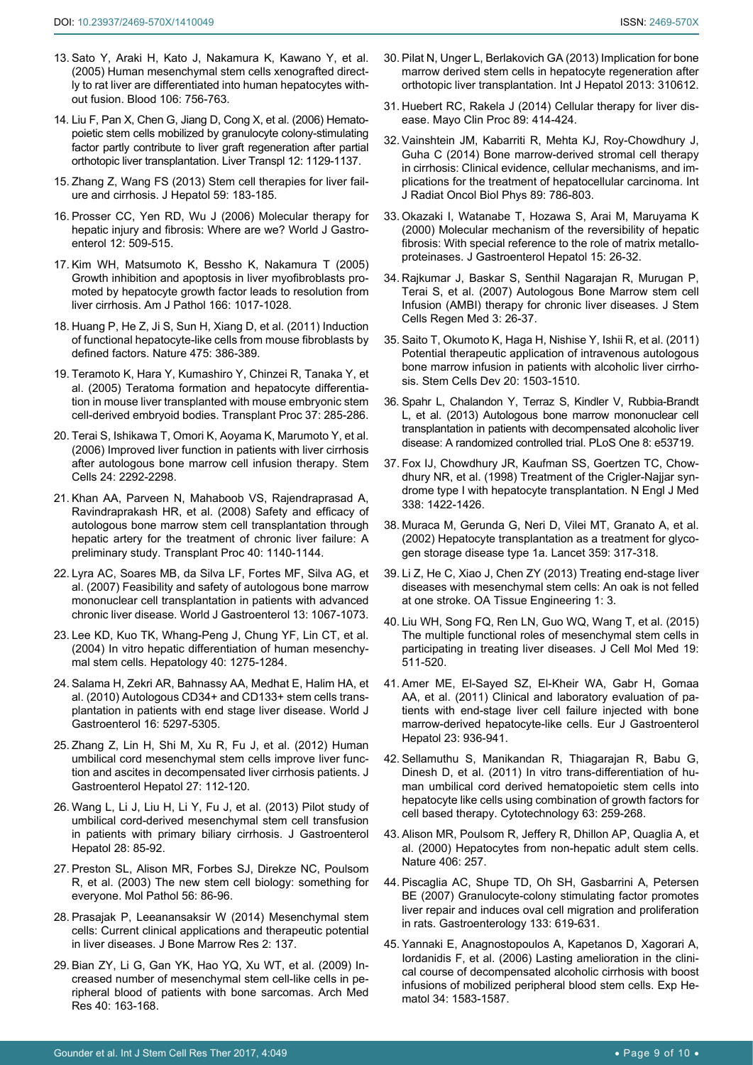- <span id="page-8-0"></span>13. [Sato Y, Araki H, Kato J, Nakamura K, Kawano Y, et al.](https://www.ncbi.nlm.nih.gov/pubmed/15817682)  [\(2005\) Human mesenchymal stem cells xenografted direct](https://www.ncbi.nlm.nih.gov/pubmed/15817682)[ly to rat liver are differentiated into human hepatocytes with](https://www.ncbi.nlm.nih.gov/pubmed/15817682)[out fusion. Blood 106: 756-763.](https://www.ncbi.nlm.nih.gov/pubmed/15817682)
- <span id="page-8-1"></span>14. [Liu F, Pan X, Chen G, Jiang D, Cong X, et al. \(2006\) Hemato](https://www.ncbi.nlm.nih.gov/pubmed/16799953)[poietic stem cells mobilized by granulocyte colony-stimulating](https://www.ncbi.nlm.nih.gov/pubmed/16799953)  [factor partly contribute to liver graft regeneration after partial](https://www.ncbi.nlm.nih.gov/pubmed/16799953)  [orthotopic liver transplantation. Liver Transpl 12: 1129-1137.](https://www.ncbi.nlm.nih.gov/pubmed/16799953)
- <span id="page-8-2"></span>15. [Zhang Z, Wang FS \(2013\) Stem cell therapies for liver fail](https://www.ncbi.nlm.nih.gov/pubmed/23353868)[ure and cirrhosis. J Hepatol 59: 183-185.](https://www.ncbi.nlm.nih.gov/pubmed/23353868)
- 16. [Prosser CC, Yen RD, Wu J \(2006\) Molecular therapy for](https://www.ncbi.nlm.nih.gov/pubmed/16489661)  [hepatic injury and fibrosis: Where are we? World J Gastro](https://www.ncbi.nlm.nih.gov/pubmed/16489661)[enterol 12: 509-515.](https://www.ncbi.nlm.nih.gov/pubmed/16489661)
- <span id="page-8-3"></span>17. [Kim WH, Matsumoto K, Bessho K, Nakamura T \(2005\)](https://www.ncbi.nlm.nih.gov/pubmed/15793283)  [Growth inhibition and apoptosis in liver myofibroblasts pro](https://www.ncbi.nlm.nih.gov/pubmed/15793283)[moted by hepatocyte growth factor leads to resolution from](https://www.ncbi.nlm.nih.gov/pubmed/15793283)  [liver cirrhosis. Am J Pathol 166: 1017-1028.](https://www.ncbi.nlm.nih.gov/pubmed/15793283)
- <span id="page-8-4"></span>18. [Huang P, He Z, Ji S, Sun H, Xiang D, et al. \(2011\) Induction](https://www.ncbi.nlm.nih.gov/pubmed/21562492)  [of functional hepatocyte-like cells from mouse fibroblasts by](https://www.ncbi.nlm.nih.gov/pubmed/21562492)  [defined factors. Nature 475: 386-389.](https://www.ncbi.nlm.nih.gov/pubmed/21562492)
- <span id="page-8-5"></span>19. [Teramoto K, Hara Y, Kumashiro Y, Chinzei R, Tanaka Y, et](https://www.ncbi.nlm.nih.gov/pubmed/15808620)  [al. \(2005\) Teratoma formation and hepatocyte differentia](https://www.ncbi.nlm.nih.gov/pubmed/15808620)[tion in mouse liver transplanted with mouse embryonic stem](https://www.ncbi.nlm.nih.gov/pubmed/15808620)  [cell-derived embryoid bodies. Transplant Proc 37: 285-286.](https://www.ncbi.nlm.nih.gov/pubmed/15808620)
- <span id="page-8-6"></span>20. [Terai S, Ishikawa T, Omori K, Aoyama K, Marumoto Y, et al.](https://www.ncbi.nlm.nih.gov/pubmed/16778155)  [\(2006\) Improved liver function in patients with liver cirrhosis](https://www.ncbi.nlm.nih.gov/pubmed/16778155)  [after autologous bone marrow cell infusion therapy. Stem](https://www.ncbi.nlm.nih.gov/pubmed/16778155)  [Cells 24: 2292-2298.](https://www.ncbi.nlm.nih.gov/pubmed/16778155)
- <span id="page-8-8"></span>21. [Khan AA, Parveen N, Mahaboob VS, Rajendraprasad A,](https://www.ncbi.nlm.nih.gov/pubmed/18555134)  [Ravindraprakash HR, et al. \(2008\) Safety and efficacy of](https://www.ncbi.nlm.nih.gov/pubmed/18555134)  [autologous bone marrow stem cell transplantation through](https://www.ncbi.nlm.nih.gov/pubmed/18555134)  [hepatic artery for the treatment of chronic liver failure: A](https://www.ncbi.nlm.nih.gov/pubmed/18555134)  [preliminary study. Transplant Proc 40: 1140-1144.](https://www.ncbi.nlm.nih.gov/pubmed/18555134)
- <span id="page-8-7"></span>22. [Lyra AC, Soares MB, da Silva LF, Fortes MF, Silva AG, et](https://www.ncbi.nlm.nih.gov/pubmed/17373741)  [al. \(2007\) Feasibility and safety of autologous bone marrow](https://www.ncbi.nlm.nih.gov/pubmed/17373741)  [mononuclear cell transplantation in patients with advanced](https://www.ncbi.nlm.nih.gov/pubmed/17373741)  [chronic liver disease. World J Gastroenterol 13: 1067-1073.](https://www.ncbi.nlm.nih.gov/pubmed/17373741)
- <span id="page-8-9"></span>23. [Lee KD, Kuo TK, Whang-Peng J, Chung YF, Lin CT, et al.](https://www.ncbi.nlm.nih.gov/pubmed/15562440)  [\(2004\) In vitro hepatic differentiation of human mesenchy](https://www.ncbi.nlm.nih.gov/pubmed/15562440)[mal stem cells. Hepatology 40: 1275-1284.](https://www.ncbi.nlm.nih.gov/pubmed/15562440)
- <span id="page-8-10"></span>24. [Salama H, Zekri AR, Bahnassy AA, Medhat E, Halim HA, et](https://www.ncbi.nlm.nih.gov/pubmed/21072892)  [al. \(2010\) Autologous CD34+ and CD133+ stem cells trans](https://www.ncbi.nlm.nih.gov/pubmed/21072892)[plantation in patients with end stage liver disease. World J](https://www.ncbi.nlm.nih.gov/pubmed/21072892)  [Gastroenterol 16: 5297-5305.](https://www.ncbi.nlm.nih.gov/pubmed/21072892)
- <span id="page-8-11"></span>25. [Zhang Z, Lin H, Shi M, Xu R, Fu J, et al. \(2012\) Human](https://www.ncbi.nlm.nih.gov/pubmed/22320928)  [umbilical cord mesenchymal stem cells improve liver func](https://www.ncbi.nlm.nih.gov/pubmed/22320928)[tion and ascites in decompensated liver cirrhosis patients. J](https://www.ncbi.nlm.nih.gov/pubmed/22320928)  [Gastroenterol Hepatol 27: 112-120.](https://www.ncbi.nlm.nih.gov/pubmed/22320928)
- <span id="page-8-12"></span>26. [Wang L, Li J, Liu H, Li Y, Fu J, et al. \(2013\) Pilot study of](https://www.ncbi.nlm.nih.gov/pubmed/23855301)  [umbilical cord-derived mesenchymal stem cell transfusion](https://www.ncbi.nlm.nih.gov/pubmed/23855301)  [in patients with primary biliary cirrhosis. J Gastroenterol](https://www.ncbi.nlm.nih.gov/pubmed/23855301)  [Hepatol 28: 85-92.](https://www.ncbi.nlm.nih.gov/pubmed/23855301)
- <span id="page-8-13"></span>27. [Preston SL, Alison MR, Forbes SJ, Direkze NC, Poulsom](https://www.ncbi.nlm.nih.gov/pubmed/12665626)  [R, et al. \(2003\) The new stem cell biology: something for](https://www.ncbi.nlm.nih.gov/pubmed/12665626)  [everyone. Mol Pathol 56: 86-96.](https://www.ncbi.nlm.nih.gov/pubmed/12665626)
- <span id="page-8-14"></span>28. Prasajak P[, Leeanansaksir W \(2014\) Mesenchymal stem](https://www.omicsonline.org/open-access/mesenchymal-stem-cells-current-clinical-applications-and-therapeutic-potential-in-liver-diseases-2329-8820-1000137.php?aid=23955)  [cells: Current clinical applications and therapeutic potential](https://www.omicsonline.org/open-access/mesenchymal-stem-cells-current-clinical-applications-and-therapeutic-potential-in-liver-diseases-2329-8820-1000137.php?aid=23955)  [in liver diseases. J Bone Marrow Res](https://www.omicsonline.org/open-access/mesenchymal-stem-cells-current-clinical-applications-and-therapeutic-potential-in-liver-diseases-2329-8820-1000137.php?aid=23955) 2: 137.
- <span id="page-8-15"></span>29. [Bian ZY, Li G, Gan YK, Hao YQ, Xu WT, et al. \(2009\) In](https://www.ncbi.nlm.nih.gov/pubmed/19427966)[creased number of mesenchymal stem cell-like cells in pe](https://www.ncbi.nlm.nih.gov/pubmed/19427966)[ripheral blood of patients with bone sarcomas. Arch Med](https://www.ncbi.nlm.nih.gov/pubmed/19427966)  [Res 40: 163-168.](https://www.ncbi.nlm.nih.gov/pubmed/19427966)
- <span id="page-8-16"></span>30. [Pilat N, Unger L, Berlakovich GA \(2013\) Implication for bone](https://www.ncbi.nlm.nih.gov/pubmed/24109514)  [marrow derived stem cells in hepatocyte regeneration after](https://www.ncbi.nlm.nih.gov/pubmed/24109514)  [orthotopic liver transplantation. Int J Hepatol 2013: 310612.](https://www.ncbi.nlm.nih.gov/pubmed/24109514)
- <span id="page-8-17"></span>31. [Huebert RC, Rakela J \(2014\) Cellular therapy for liver dis](https://www.ncbi.nlm.nih.gov/pubmed/24582199)[ease. Mayo Clin Proc 89: 414-424.](https://www.ncbi.nlm.nih.gov/pubmed/24582199)
- <span id="page-8-18"></span>32. [Vainshtein JM, Kabarriti R, Mehta KJ, Roy-Chowdhury J,](https://www.ncbi.nlm.nih.gov/pubmed/24969793)  [Guha C \(2014\) Bone marrow-derived stromal cell therapy](https://www.ncbi.nlm.nih.gov/pubmed/24969793)  [in cirrhosis: Clinical evidence, cellular mechanisms, and im](https://www.ncbi.nlm.nih.gov/pubmed/24969793)[plications for the treatment of hepatocellular carcinoma. Int](https://www.ncbi.nlm.nih.gov/pubmed/24969793)  [J Radiat Oncol Biol Phys 89: 786-803.](https://www.ncbi.nlm.nih.gov/pubmed/24969793)
- <span id="page-8-19"></span>33. [Okazaki I, Watanabe T, Hozawa S, Arai M, Maruyama K](https://www.ncbi.nlm.nih.gov/pubmed/10759217)  [\(2000\) Molecular mechanism of the reversibility of hepatic](https://www.ncbi.nlm.nih.gov/pubmed/10759217)  [fibrosis: With special reference to the role of matrix metallo](https://www.ncbi.nlm.nih.gov/pubmed/10759217)[proteinases. J Gastroenterol Hepatol 15: 26-32.](https://www.ncbi.nlm.nih.gov/pubmed/10759217)
- <span id="page-8-20"></span>34. [Rajkumar J, Baskar S, Senthil Nagarajan R, Murugan P,](https://www.ncbi.nlm.nih.gov/pubmed/24693020)  [Terai S, et al. \(2007\) Autologous Bone Marrow stem cell](https://www.ncbi.nlm.nih.gov/pubmed/24693020)  [Infusion \(AMBI\) therapy for chronic liver diseases. J Stem](https://www.ncbi.nlm.nih.gov/pubmed/24693020)  [Cells Regen Med 3: 26-37.](https://www.ncbi.nlm.nih.gov/pubmed/24693020)
- <span id="page-8-21"></span>35. [Saito T, Okumoto K, Haga H, Nishise Y, Ishii R, et al. \(2011\)](https://www.ncbi.nlm.nih.gov/pubmed/21417817)  [Potential therapeutic application of intravenous autologous](https://www.ncbi.nlm.nih.gov/pubmed/21417817)  [bone marrow infusion in patients with alcoholic liver cirrho](https://www.ncbi.nlm.nih.gov/pubmed/21417817)[sis. Stem Cells Dev 20: 1503-1510.](https://www.ncbi.nlm.nih.gov/pubmed/21417817)
- <span id="page-8-22"></span>36. [Spahr L, Chalandon Y, Terraz S, Kindler V, Rubbia-Brandt](https://www.ncbi.nlm.nih.gov/pubmed/23341981)  [L, et al. \(2013\) Autologous bone marrow mononuclear cell](https://www.ncbi.nlm.nih.gov/pubmed/23341981)  [transplantation in patients with decompensated alcoholic liver](https://www.ncbi.nlm.nih.gov/pubmed/23341981)  [disease: A randomized controlled trial. PLoS One 8: e53719.](https://www.ncbi.nlm.nih.gov/pubmed/23341981)
- <span id="page-8-23"></span>37. [Fox IJ, Chowdhury JR, Kaufman SS, Goertzen TC, Chow](https://www.ncbi.nlm.nih.gov/pubmed/9580649)[dhury NR, et al. \(1998\) Treatment of the Crigler-Najjar syn](https://www.ncbi.nlm.nih.gov/pubmed/9580649)[drome type I with hepatocyte transplantation. N Engl J Med](https://www.ncbi.nlm.nih.gov/pubmed/9580649)  [338: 1422-1426.](https://www.ncbi.nlm.nih.gov/pubmed/9580649)
- 38. [Muraca M, Gerunda G, Neri D, Vilei MT, Granato A, et al.](https://www.ncbi.nlm.nih.gov/pubmed/11830200)  [\(2002\) Hepatocyte transplantation as a treatment for glyco](https://www.ncbi.nlm.nih.gov/pubmed/11830200)[gen storage disease type 1a. Lancet 359: 317-318.](https://www.ncbi.nlm.nih.gov/pubmed/11830200)
- <span id="page-8-24"></span>39. [Li Z, He C, Xiao J, Chen ZY \(2013\) Treating end-stage liver](http://www.oapublishinglondon.com/article/583)  [diseases with mesenchymal stem cells: An oak is not felled](http://www.oapublishinglondon.com/article/583)  [at one stroke. OA Tissue Engineering 1:](http://www.oapublishinglondon.com/article/583) 3.
- <span id="page-8-25"></span>40. [Liu WH, Song FQ, Ren LN, Guo WQ, Wang T, et al. \(2015\)](https://www.ncbi.nlm.nih.gov/pubmed/25534251)  [The multiple functional roles of mesenchymal stem cells in](https://www.ncbi.nlm.nih.gov/pubmed/25534251)  [participating in treating liver diseases. J Cell Mol Med 19:](https://www.ncbi.nlm.nih.gov/pubmed/25534251)  [511-520.](https://www.ncbi.nlm.nih.gov/pubmed/25534251)
- <span id="page-8-26"></span>41. [Amer ME, El-Sayed SZ, El-Kheir WA, Gabr H, Gomaa](https://www.ncbi.nlm.nih.gov/pubmed/21900788)  [AA, et al. \(2011\) Clinical and laboratory evaluation of pa](https://www.ncbi.nlm.nih.gov/pubmed/21900788)[tients with end-stage liver cell failure injected with bone](https://www.ncbi.nlm.nih.gov/pubmed/21900788)  [marrow-derived hepatocyte-like cells. Eur J Gastroenterol](https://www.ncbi.nlm.nih.gov/pubmed/21900788)  [Hepatol 23: 936-941.](https://www.ncbi.nlm.nih.gov/pubmed/21900788)
- <span id="page-8-27"></span>42. [Sellamuthu S, Manikandan R, Thiagarajan R, Babu G,](https://www.ncbi.nlm.nih.gov/pubmed/21327936)  [Dinesh D, et al. \(2011\) In vitro trans-differentiation of hu](https://www.ncbi.nlm.nih.gov/pubmed/21327936)[man umbilical cord derived hematopoietic stem cells into](https://www.ncbi.nlm.nih.gov/pubmed/21327936)  [hepatocyte like cells using combination of growth factors for](https://www.ncbi.nlm.nih.gov/pubmed/21327936)  [cell based therapy. Cytotechnology 63: 259-268.](https://www.ncbi.nlm.nih.gov/pubmed/21327936)
- 43. [Alison MR, Poulsom R, Jeffery R, Dhillon AP, Quaglia A, et](https://www.ncbi.nlm.nih.gov/pubmed/10917519)  [al. \(2000\) Hepatocytes from non-hepatic adult stem cells.](https://www.ncbi.nlm.nih.gov/pubmed/10917519)  [Nature 406: 257.](https://www.ncbi.nlm.nih.gov/pubmed/10917519)
- <span id="page-8-28"></span>44. [Piscaglia AC, Shupe TD, Oh SH, Gasbarrini A, Petersen](https://www.ncbi.nlm.nih.gov/pubmed/17681181)  [BE \(2007\) Granulocyte-colony stimulating factor promotes](https://www.ncbi.nlm.nih.gov/pubmed/17681181)  [liver repair and induces oval cell migration and proliferation](https://www.ncbi.nlm.nih.gov/pubmed/17681181)  [in rats. Gastroenterology 133: 619-631.](https://www.ncbi.nlm.nih.gov/pubmed/17681181)
- <span id="page-8-29"></span>45. [Yannaki E, Anagnostopoulos A, Kapetanos D, Xagorari A,](https://www.ncbi.nlm.nih.gov/pubmed/17046578)  [Iordanidis F, et al. \(2006\) Lasting amelioration in the clini](https://www.ncbi.nlm.nih.gov/pubmed/17046578)[cal course of decompensated alcoholic cirrhosis with boost](https://www.ncbi.nlm.nih.gov/pubmed/17046578)  [infusions of mobilized peripheral blood stem cells. Exp He](https://www.ncbi.nlm.nih.gov/pubmed/17046578)[matol 34: 1583-1587.](https://www.ncbi.nlm.nih.gov/pubmed/17046578)